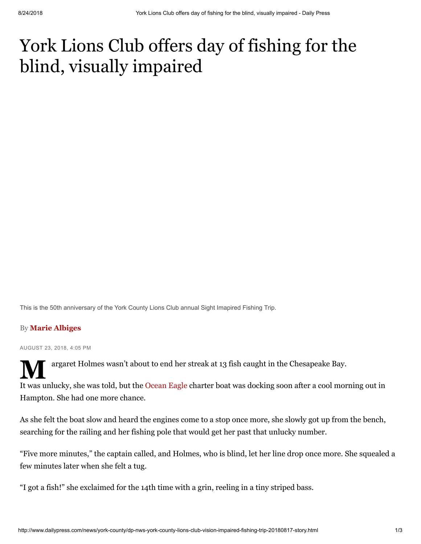## York Lions Club offers day of fishing for the blind, visually impaired

This is the 50th anniversary of the York County Lions Club annual Sight Imapired Fishing Trip.

## By Marie Albiges

AUGUST 23, 2018, 4:05 PM

 $\mathbf{M}$   $_{\textrm{\tiny{A}}}^{\textrm{\tiny{a}}}$ argaret Holmes wasn't about to end her streak at 13 fish caught in the Chesapeake Bay. It was unlucky, she was told, but the [Ocean Eagle](https://www.hamptonroadscharter.com/) charter boat was docking soon after a cool morning out in Hampton. She had one more chance.

As she felt the boat slow and heard the engines come to a stop once more, she slowly got up from the bench, searching for the railing and her fishing pole that would get her past that unlucky number.

"Five more minutes," the captain called, and Holmes, who is blind, let her line drop once more. She squealed a few minutes later when she felt a tug.

"I got a fish!" she exclaimed for the 14th time with a grin, reeling in a tiny striped bass.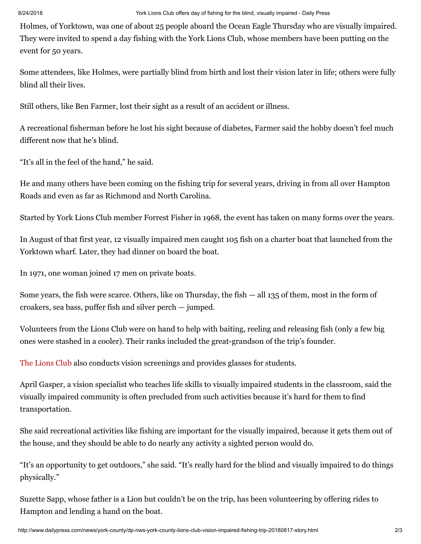Holmes, of Yorktown, was one of about 25 people aboard the Ocean Eagle Thursday who are visually impaired. They were invited to spend a day fishing with the York Lions Club, whose members have been putting on the event for 50 years.

Some attendees, like Holmes, were partially blind from birth and lost their vision later in life; others were fully blind all their lives.

Still others, like Ben Farmer, lost their sight as a result of an accident or illness.

A recreational fisherman before he lost his sight because of diabetes, Farmer said the hobby doesn't feel much different now that he's blind.

"It's all in the feel of the hand," he said.

He and many others have been coming on the fishing trip for several years, driving in from all over Hampton Roads and even as far as Richmond and North Carolina.

Started by York Lions Club member Forrest Fisher in 1968, the event has taken on many forms over the years.

In August of that first year, 12 visually impaired men caught 105 fish on a charter boat that launched from the Yorktown wharf. Later, they had dinner on board the boat.

In 1971, one woman joined 17 men on private boats.

Some years, the fish were scarce. Others, like on Thursday, the fish — all 135 of them, most in the form of croakers, sea bass, puffer fish and silver perch — jumped.

Volunteers from the Lions Club were on hand to help with baiting, reeling and releasing fish (only a few big ones were stashed in a cooler). Their ranks included the great-grandson of the trip's founder.

[The Lions Club a](http://www.yorkcountylionsclub.com/)lso conducts vision screenings and provides glasses for students.

April Gasper, a vision specialist who teaches life skills to visually impaired students in the classroom, said the visually impaired community is often precluded from such activities because it's hard for them to find transportation.

She said recreational activities like fishing are important for the visually impaired, because it gets them out of the house, and they should be able to do nearly any activity a sighted person would do.

"It's an opportunity to get outdoors," she said. "It's really hard for the blind and visually impaired to do things physically."

Suzette Sapp, whose father is a Lion but couldn't be on the trip, has been volunteering by offering rides to Hampton and lending a hand on the boat.